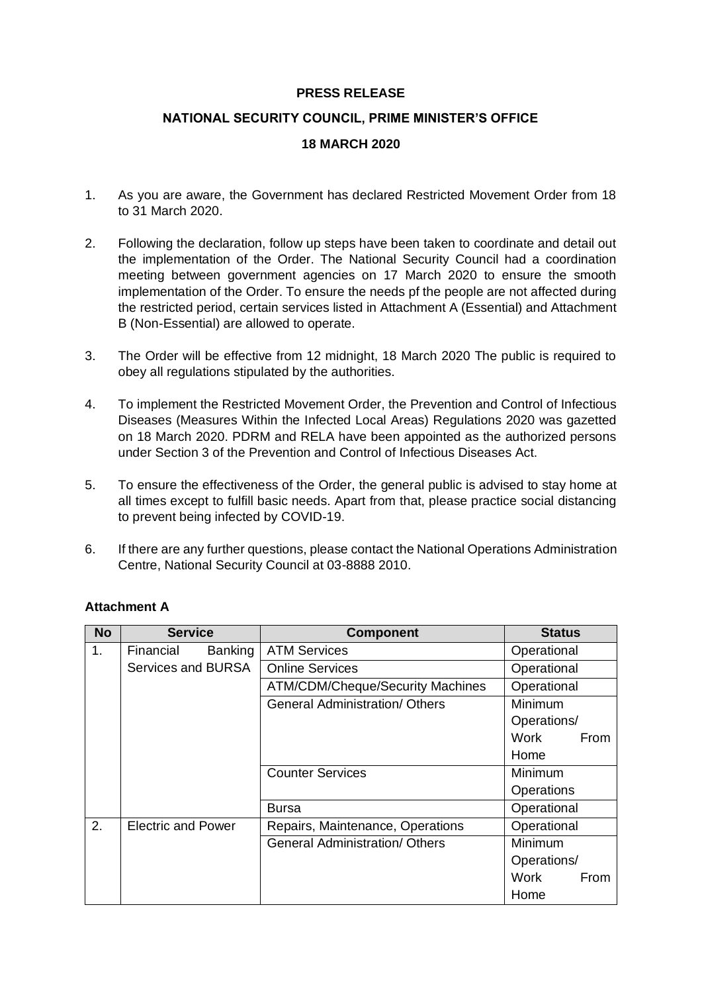#### **PRESS RELEASE**

# **NATIONAL SECURITY COUNCIL, PRIME MINISTER'S OFFICE**

### **18 MARCH 2020**

- 1. As you are aware, the Government has declared Restricted Movement Order from 18 to 31 March 2020.
- 2. Following the declaration, follow up steps have been taken to coordinate and detail out the implementation of the Order. The National Security Council had a coordination meeting between government agencies on 17 March 2020 to ensure the smooth implementation of the Order. To ensure the needs pf the people are not affected during the restricted period, certain services listed in Attachment A (Essential) and Attachment B (Non-Essential) are allowed to operate.
- 3. The Order will be effective from 12 midnight, 18 March 2020 The public is required to obey all regulations stipulated by the authorities.
- 4. To implement the Restricted Movement Order, the Prevention and Control of Infectious Diseases (Measures Within the Infected Local Areas) Regulations 2020 was gazetted on 18 March 2020. PDRM and RELA have been appointed as the authorized persons under Section 3 of the Prevention and Control of Infectious Diseases Act.
- 5. To ensure the effectiveness of the Order, the general public is advised to stay home at all times except to fulfill basic needs. Apart from that, please practice social distancing to prevent being infected by COVID-19.
- 6. If there are any further questions, please contact the National Operations Administration Centre, National Security Council at 03-8888 2010.

| <b>No</b> | <b>Service</b>            | <b>Component</b>                        | <b>Status</b> |
|-----------|---------------------------|-----------------------------------------|---------------|
| 1.        | Financial<br>Banking      | <b>ATM Services</b>                     | Operational   |
|           | Services and BURSA        | <b>Online Services</b>                  | Operational   |
|           |                           | <b>ATM/CDM/Cheque/Security Machines</b> | Operational   |
|           |                           | <b>General Administration/ Others</b>   | Minimum       |
|           |                           |                                         | Operations/   |
|           |                           |                                         | Work<br>From  |
|           |                           |                                         | Home          |
|           |                           | <b>Counter Services</b>                 | Minimum       |
|           |                           |                                         | Operations    |
|           |                           | <b>Bursa</b>                            | Operational   |
| 2.        | <b>Electric and Power</b> | Repairs, Maintenance, Operations        | Operational   |
|           |                           | <b>General Administration/ Others</b>   | Minimum       |
|           |                           |                                         | Operations/   |
|           |                           |                                         | Work<br>From  |
|           |                           |                                         | Home          |

# **Attachment A**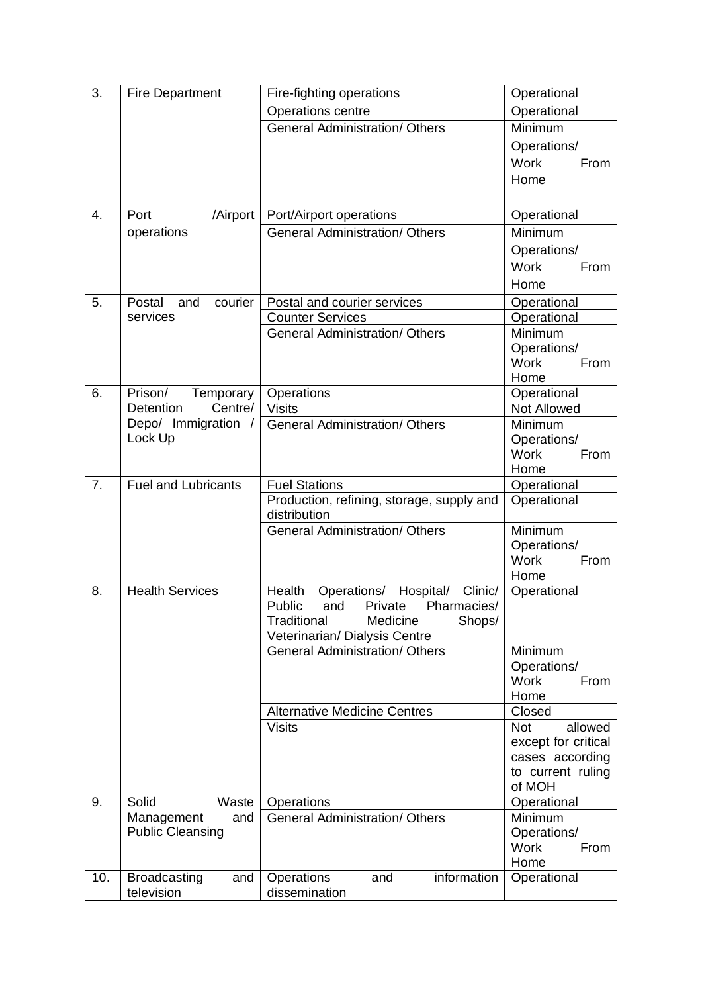| 3.  | <b>Fire Department</b>               | Fire-fighting operations                                               | Operational            |
|-----|--------------------------------------|------------------------------------------------------------------------|------------------------|
|     |                                      | Operations centre                                                      | Operational            |
|     |                                      | <b>General Administration/ Others</b>                                  | Minimum                |
|     |                                      |                                                                        | Operations/            |
|     |                                      |                                                                        | <b>Work</b><br>From    |
|     |                                      |                                                                        | Home                   |
|     |                                      |                                                                        |                        |
| 4.  | Port<br>/Airport                     | Port/Airport operations                                                | Operational            |
|     | operations                           | <b>General Administration/ Others</b>                                  | Minimum                |
|     |                                      |                                                                        | Operations/            |
|     |                                      |                                                                        | <b>Work</b><br>From    |
|     |                                      |                                                                        | Home                   |
|     |                                      |                                                                        |                        |
| 5.  | Postal<br>and<br>courier<br>services | Postal and courier services<br><b>Counter Services</b>                 | Operational            |
|     |                                      | <b>General Administration/ Others</b>                                  | Operational<br>Minimum |
|     |                                      |                                                                        | Operations/            |
|     |                                      |                                                                        | <b>Work</b><br>From    |
|     |                                      |                                                                        | Home                   |
| 6.  | Prison/<br>Temporary                 | Operations                                                             | Operational            |
|     | <b>Detention</b><br>Centre/          | <b>Visits</b>                                                          | Not Allowed            |
|     | Depo/ Immigration /                  | <b>General Administration/ Others</b>                                  | Minimum                |
|     | Lock Up                              |                                                                        | Operations/            |
|     |                                      |                                                                        | <b>Work</b><br>From    |
|     |                                      |                                                                        | Home                   |
| 7.  | <b>Fuel and Lubricants</b>           | <b>Fuel Stations</b>                                                   | Operational            |
|     |                                      | Production, refining, storage, supply and<br>distribution              | Operational            |
|     |                                      | <b>General Administration/ Others</b>                                  | Minimum                |
|     |                                      |                                                                        | Operations/            |
|     |                                      |                                                                        | <b>Work</b><br>From    |
|     |                                      |                                                                        | Home                   |
| 8.  | <b>Health Services</b>               | Hospital/<br>Operations/<br>Clinic/<br>Health                          | Operational            |
|     |                                      | Private<br>Public<br>and<br>Pharmacies/                                |                        |
|     |                                      | Traditional<br>Shops/<br>Medicine                                      |                        |
|     |                                      | Veterinarian/ Dialysis Centre<br><b>General Administration/ Others</b> | Minimum                |
|     |                                      |                                                                        | Operations/            |
|     |                                      |                                                                        | <b>Work</b><br>From    |
|     |                                      |                                                                        | Home                   |
|     |                                      | <b>Alternative Medicine Centres</b>                                    | Closed                 |
|     |                                      | <b>Visits</b>                                                          | allowed<br>Not         |
|     |                                      |                                                                        | except for critical    |
|     |                                      |                                                                        | cases according        |
|     |                                      |                                                                        | to current ruling      |
| 9.  | Solid<br>Waste                       | Operations                                                             | of MOH<br>Operational  |
|     | Management<br>and                    | <b>General Administration/ Others</b>                                  | Minimum                |
|     | <b>Public Cleansing</b>              |                                                                        | Operations/            |
|     |                                      |                                                                        | <b>Work</b><br>From    |
|     |                                      |                                                                        | Home                   |
| 10. | <b>Broadcasting</b><br>and           | information<br>Operations<br>and                                       | Operational            |
|     | television                           | dissemination                                                          |                        |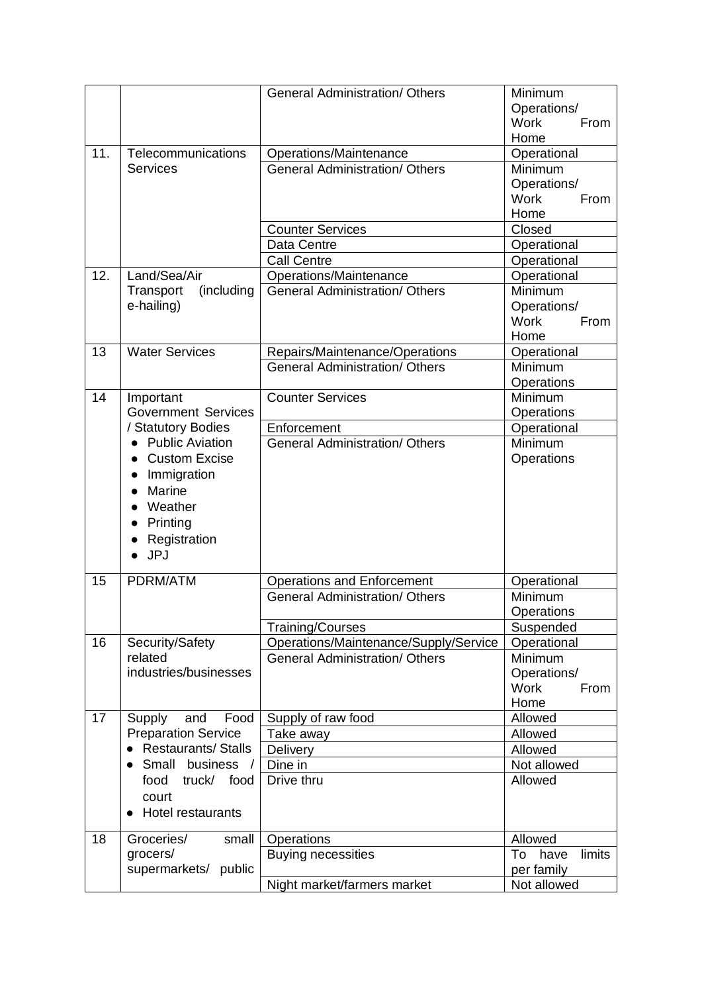|     |                            | <b>General Administration/ Others</b> | Minimum<br>Operations/<br>Work<br>From<br>Home |
|-----|----------------------------|---------------------------------------|------------------------------------------------|
| 11. | Telecommunications         | Operations/Maintenance                | Operational                                    |
|     | <b>Services</b>            | <b>General Administration/ Others</b> | Minimum                                        |
|     |                            |                                       | Operations/                                    |
|     |                            |                                       | <b>Work</b><br>From                            |
|     |                            |                                       | Home                                           |
|     |                            | <b>Counter Services</b>               | Closed                                         |
|     |                            | Data Centre                           | Operational                                    |
|     |                            | <b>Call Centre</b>                    | Operational                                    |
| 12. | Land/Sea/Air               | Operations/Maintenance                | Operational                                    |
|     | (including<br>Transport    | <b>General Administration/ Others</b> | Minimum                                        |
|     | e-hailing)                 |                                       | Operations/                                    |
|     |                            |                                       | <b>Work</b><br>From                            |
|     |                            |                                       | Home                                           |
| 13  | <b>Water Services</b>      | Repairs/Maintenance/Operations        | Operational                                    |
|     |                            | <b>General Administration/ Others</b> | Minimum                                        |
|     |                            |                                       | Operations                                     |
| 14  | Important                  | <b>Counter Services</b>               | Minimum                                        |
|     | <b>Government Services</b> |                                       | Operations                                     |
|     | / Statutory Bodies         | Enforcement                           | Operational                                    |
|     | • Public Aviation          | <b>General Administration/ Others</b> | Minimum                                        |
|     | <b>Custom Excise</b>       |                                       | Operations                                     |
|     | Immigration                |                                       |                                                |
|     | Marine<br>$\bullet$        |                                       |                                                |
|     | Weather<br>$\bullet$       |                                       |                                                |
|     | Printing<br>$\bullet$      |                                       |                                                |
|     | Registration               |                                       |                                                |
|     | <b>JPJ</b><br>$\bullet$    |                                       |                                                |
|     |                            |                                       |                                                |
| 15  | PDRM/ATM                   | <b>Operations and Enforcement</b>     | Operational                                    |
|     |                            | <b>General Administration/ Others</b> | Minimum                                        |
|     |                            |                                       | <b>Operations</b>                              |
|     |                            | Training/Courses                      | Suspended                                      |
| 16  | Security/Safety            | Operations/Maintenance/Supply/Service | Operational                                    |
|     | related                    | <b>General Administration/ Others</b> | Minimum                                        |
|     | industries/businesses      |                                       | Operations/                                    |
|     |                            |                                       | <b>Work</b><br>From                            |
|     |                            |                                       | Home                                           |
| 17  | Food<br>Supply<br>and      | Supply of raw food                    | Allowed                                        |
|     | <b>Preparation Service</b> | Take away                             | Allowed                                        |
|     | <b>Restaurants/ Stalls</b> | Delivery                              | Allowed                                        |
|     | Small business /           | Dine in                               | Not allowed                                    |
|     | food<br>truck/ food        | Drive thru                            | Allowed                                        |
|     | court                      |                                       |                                                |
|     | <b>Hotel restaurants</b>   |                                       |                                                |
|     |                            |                                       |                                                |
| 18  | Groceries/<br>small        | Operations                            | Allowed                                        |
|     | grocers/                   | <b>Buying necessities</b>             | limits<br>To<br>have                           |
|     | supermarkets/ public       |                                       | per family                                     |
|     |                            | Night market/farmers market           | Not allowed                                    |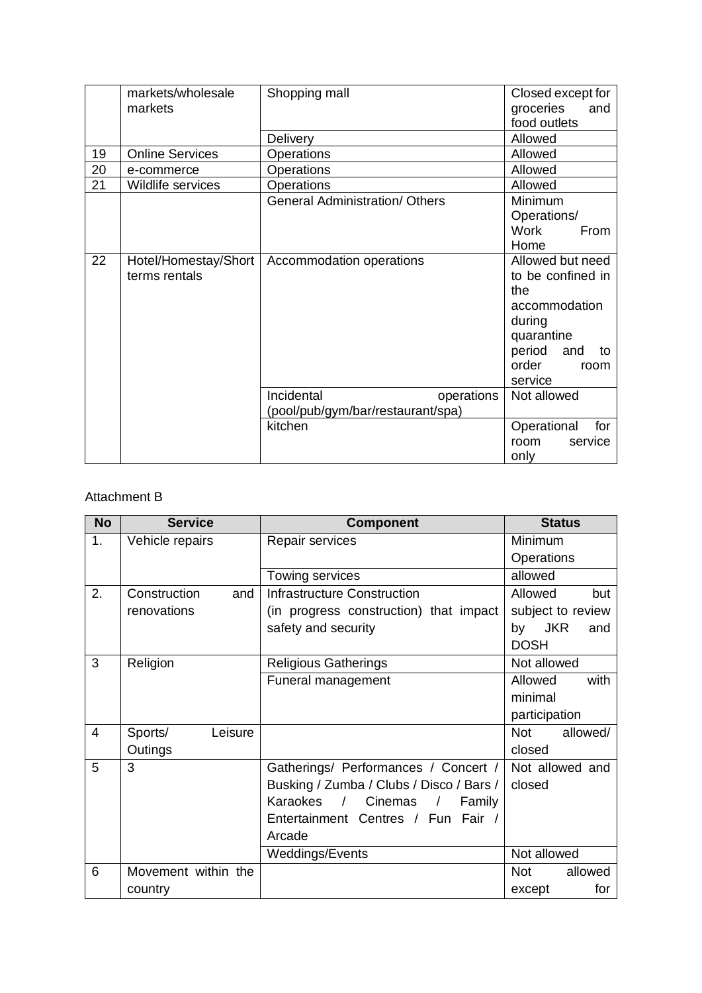|    | markets/wholesale      | Shopping mall                         | Closed except for  |
|----|------------------------|---------------------------------------|--------------------|
|    | markets                |                                       | groceries<br>and   |
|    |                        |                                       | food outlets       |
|    |                        | Delivery                              | Allowed            |
| 19 | <b>Online Services</b> | Operations                            | Allowed            |
| 20 | e-commerce             | Operations                            | Allowed            |
| 21 | Wildlife services      | Operations                            | Allowed            |
|    |                        | <b>General Administration/ Others</b> | Minimum            |
|    |                        |                                       | Operations/        |
|    |                        |                                       | Work<br>From       |
|    |                        |                                       | Home               |
| 22 | Hotel/Homestay/Short   | Accommodation operations              | Allowed but need   |
|    | terms rentals          |                                       | to be confined in  |
|    |                        |                                       | the                |
|    |                        |                                       | accommodation      |
|    |                        |                                       | during             |
|    |                        |                                       | quarantine         |
|    |                        |                                       | period and<br>to   |
|    |                        |                                       | order<br>room      |
|    |                        |                                       | service            |
|    |                        | Incidental<br>operations              | Not allowed        |
|    |                        | (pool/pub/gym/bar/restaurant/spa)     |                    |
|    |                        | kitchen                               | Operational<br>for |
|    |                        |                                       | service<br>room    |
|    |                        |                                       | only               |

### Attachment B

| <b>No</b> | <b>Service</b>      | <b>Component</b>                         | <b>Status</b>           |
|-----------|---------------------|------------------------------------------|-------------------------|
| 1.        | Vehicle repairs     | Repair services                          | Minimum                 |
|           |                     |                                          | Operations              |
|           |                     | Towing services                          | allowed                 |
| 2.        | Construction<br>and | <b>Infrastructure Construction</b>       | Allowed<br>but          |
|           | renovations         | (in progress construction) that impact   | subject to review       |
|           |                     | safety and security                      | <b>JKR</b><br>by<br>and |
|           |                     |                                          | <b>DOSH</b>             |
| 3         | Religion            | <b>Religious Gatherings</b>              | Not allowed             |
|           |                     | Funeral management                       | with<br>Allowed         |
|           |                     |                                          | minimal                 |
|           |                     |                                          | participation           |
| 4         | Sports/<br>Leisure  |                                          | <b>Not</b><br>allowed/  |
|           | Outings             |                                          | closed                  |
| 5         | 3                   | Gatherings/ Performances / Concert /     | Not allowed and         |
|           |                     | Busking / Zumba / Clubs / Disco / Bars / | closed                  |
|           |                     | Karaokes /<br>Cinemas<br>Family          |                         |
|           |                     | Entertainment Centres / Fun Fair /       |                         |
|           |                     | Arcade                                   |                         |
|           |                     | Weddings/Events                          | Not allowed             |
| 6         | Movement within the |                                          | <b>Not</b><br>allowed   |
|           | country             |                                          | for<br>except           |